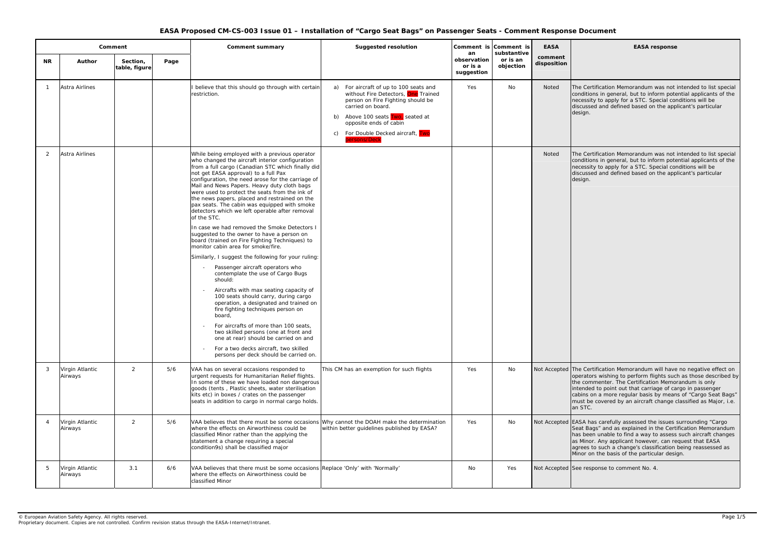#### **EASA response**

Certification Memorandum was not intended to list special litions in general, but to inform potential applicants of the ssity to apply for a STC. Special conditions will be ssed and defined based on the applicant's particular

Certification Memorandum was not intended to list special litions in general, but to inform potential applicants of the ssity to apply for a STC. Special conditions will be ssed and defined based on the applicant's particular

Certification Memorandum will have no negative effect on ators wishing to perform flights such as those described by ommenter. The Certification Memorandum is only ded to point out that carriage of cargo in passenger is on a more regular basis by means of "Cargo Seat Bags" be covered by an aircraft change classified as Major, i.e.  $\overline{C}$ 

has carefully assessed the issues surrounding "Cargo Bags" and as explained in the Certification Memorandum been unable to find a way to assess such aircraft changes as Minor. Any applicant however, can request that EASA agrees to such a change's classification being reassessed as on the basis of the particular design.

esponse to comment No. 4.

|                |                            | Comment                   |      | <b>Comment summary</b>                                                                                                                                                                                                                                                                                                                                                                                                                                                                                                                                                                                                                                                                                                                                                                                                                                                                                                                                                                                                                                                                                                                                                                                                                                                       | <b>Suggested resolution</b>                                                                                                                                                                                                                                           |                                            | Comment is Comment is<br>substantive | <b>EASA</b>            |                                                                 |
|----------------|----------------------------|---------------------------|------|------------------------------------------------------------------------------------------------------------------------------------------------------------------------------------------------------------------------------------------------------------------------------------------------------------------------------------------------------------------------------------------------------------------------------------------------------------------------------------------------------------------------------------------------------------------------------------------------------------------------------------------------------------------------------------------------------------------------------------------------------------------------------------------------------------------------------------------------------------------------------------------------------------------------------------------------------------------------------------------------------------------------------------------------------------------------------------------------------------------------------------------------------------------------------------------------------------------------------------------------------------------------------|-----------------------------------------------------------------------------------------------------------------------------------------------------------------------------------------------------------------------------------------------------------------------|--------------------------------------------|--------------------------------------|------------------------|-----------------------------------------------------------------|
| <b>NR</b>      | <b>Author</b>              | Section,<br>table, figure | Page |                                                                                                                                                                                                                                                                                                                                                                                                                                                                                                                                                                                                                                                                                                                                                                                                                                                                                                                                                                                                                                                                                                                                                                                                                                                                              |                                                                                                                                                                                                                                                                       | an<br>observation<br>or is a<br>suggestion | or is an<br>objection                | comment<br>disposition |                                                                 |
|                | Astra Airlines             |                           |      | believe that this should go through with certain<br>restriction.                                                                                                                                                                                                                                                                                                                                                                                                                                                                                                                                                                                                                                                                                                                                                                                                                                                                                                                                                                                                                                                                                                                                                                                                             | For aircraft of up to 100 seats and<br>a)<br>without Fire Detectors, One Trained<br>person on Fire Fighting should be<br>carried on board.<br>Above 100 seats Two, seated at<br>b)<br>opposite ends of cabin<br>For Double Decked aircraft, Two<br>C)<br>persons/Deck | Yes                                        | No                                   | Noted                  | The Cer<br>conditio<br>necessit<br>discusse<br>design.          |
| 2              | <b>Astra Airlines</b>      |                           |      | While being employed with a previous operator<br>who changed the aircraft interior configuration<br>from a full cargo (Canadian STC which finally did<br>not get EASA approval) to a full Pax<br>configuration, the need arose for the carriage of<br>Mail and News Papers. Heavy duty cloth bags<br>were used to protect the seats from the ink of<br>the news papers, placed and restrained on the<br>pax seats. The cabin was equipped with smoke<br>detectors which we left operable after removal<br>of the STC.<br>In case we had removed the Smoke Detectors I<br>suggested to the owner to have a person on<br>board (trained on Fire Fighting Techniques) to<br>monitor cabin area for smoke/fire.<br>Similarly, I suggest the following for your ruling:<br>Passenger aircraft operators who<br>contemplate the use of Cargo Bugs<br>should:<br>Aircrafts with max seating capacity of<br>100 seats should carry, during cargo<br>operation, a designated and trained on<br>fire fighting techniques person on<br>board,<br>For aircrafts of more than 100 seats,<br>two skilled persons (one at front and<br>one at rear) should be carried on and<br>For a two decks aircraft, two skilled<br>$\overline{\phantom{a}}$<br>persons per deck should be carried on. |                                                                                                                                                                                                                                                                       |                                            |                                      | Noted                  | The Cer<br>conditio<br>necessit<br>discusse<br>design.          |
| 3              | Virgin Atlantic<br>Airways | $\overline{2}$            | 5/6  | VAA has on several occasions responded to<br>urgent requests for Humanitarian Relief flights.<br>In some of these we have loaded non dangerous<br>goods (tents, Plastic sheets, water sterilisation<br>kits etc) in boxes / crates on the passenger<br>seats in addition to cargo in normal cargo holds.                                                                                                                                                                                                                                                                                                                                                                                                                                                                                                                                                                                                                                                                                                                                                                                                                                                                                                                                                                     | This CM has an exemption for such flights                                                                                                                                                                                                                             | Yes                                        | No                                   | Not Accepted The Cer   | operato<br>the com<br>intende<br>cabins c<br>must be<br>an STC. |
| $\overline{4}$ | Virgin Atlantic<br>Airways | $\overline{2}$            | 5/6  | VAA believes that there must be some occasions Why cannot the DOAH make the determination<br>where the effects on Airworthiness could be<br>classified Minor rather than the applying the<br>statement a change requiring a special<br>condition9s) shall be classified major                                                                                                                                                                                                                                                                                                                                                                                                                                                                                                                                                                                                                                                                                                                                                                                                                                                                                                                                                                                                | within better guidelines published by EASA?                                                                                                                                                                                                                           | Yes                                        | No                                   | Not Accepted EASA ha   | Seat Ba<br>has bee<br>as Mino<br>agrees t<br>Minor of           |
| 5              | Virgin Atlantic<br>Airways | 3.1                       | 6/6  | VAA believes that there must be some occasions Replace 'Only' with 'Normally'<br>where the effects on Airworthiness could be<br>classified Minor                                                                                                                                                                                                                                                                                                                                                                                                                                                                                                                                                                                                                                                                                                                                                                                                                                                                                                                                                                                                                                                                                                                             |                                                                                                                                                                                                                                                                       | No                                         | Yes                                  | Not Accepted See res   |                                                                 |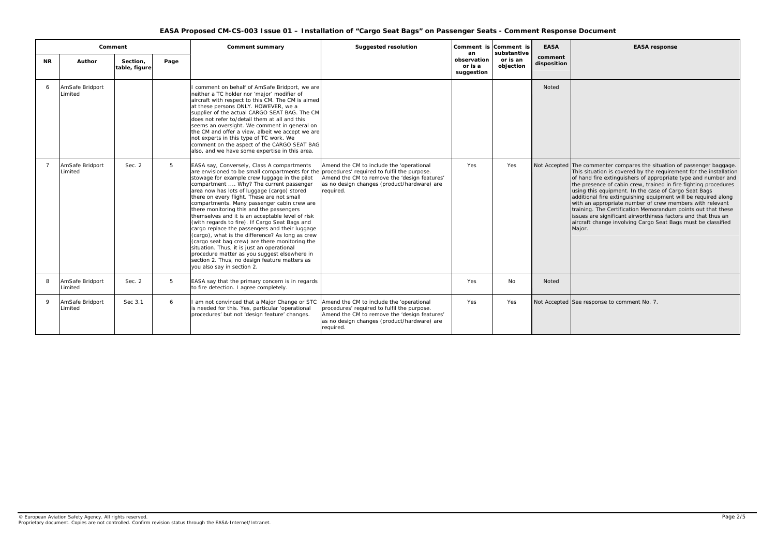|                                              |                                                    |                                       | de Seats - comment Response Document                                                                                                                                                                                                                                                                                                                                                                                                                                                                                                                                                                                                                                 |
|----------------------------------------------|----------------------------------------------------|---------------------------------------|----------------------------------------------------------------------------------------------------------------------------------------------------------------------------------------------------------------------------------------------------------------------------------------------------------------------------------------------------------------------------------------------------------------------------------------------------------------------------------------------------------------------------------------------------------------------------------------------------------------------------------------------------------------------|
| ment is<br>an<br>rvation<br>ʻis a<br>gestion | Comment is<br>substantive<br>or is an<br>objection | <b>EASA</b><br>comment<br>disposition | <b>EASA response</b>                                                                                                                                                                                                                                                                                                                                                                                                                                                                                                                                                                                                                                                 |
|                                              |                                                    | <b>Noted</b>                          |                                                                                                                                                                                                                                                                                                                                                                                                                                                                                                                                                                                                                                                                      |
| Yes                                          | Yes                                                | Not Accepted                          | The commenter compares the situation of passenger baggage.<br>This situation is covered by the requirement for the installation<br>of hand fire extinguishers of appropriate type and number and<br>the presence of cabin crew, trained in fire fighting procedures<br>using this equipment. In the case of Cargo Seat Bags<br>additional fire extinguishing equipment will be required along<br>with an appropriate number of crew members with relevant<br>training. The Certification Memorandum points out that these<br>issues are significant airworthiness factors and that thus an<br>aircraft change involving Cargo Seat Bags must be classified<br>Major. |
| Yes                                          | <b>No</b>                                          | <b>Noted</b>                          |                                                                                                                                                                                                                                                                                                                                                                                                                                                                                                                                                                                                                                                                      |

esponse to comment No. 7.

| Comment        |                            |                           |      | Comment summary                                                                                                                                                                                                                                                                                                                                                                                                                                                                                                                                                                                                                                                                                                                                                                                                              | <b>Suggested resolution</b>                                                                                                                                                                         | an                                   | Comment is Comment is<br>substantive | <b>EASA</b>            |                                                                                                                       |
|----------------|----------------------------|---------------------------|------|------------------------------------------------------------------------------------------------------------------------------------------------------------------------------------------------------------------------------------------------------------------------------------------------------------------------------------------------------------------------------------------------------------------------------------------------------------------------------------------------------------------------------------------------------------------------------------------------------------------------------------------------------------------------------------------------------------------------------------------------------------------------------------------------------------------------------|-----------------------------------------------------------------------------------------------------------------------------------------------------------------------------------------------------|--------------------------------------|--------------------------------------|------------------------|-----------------------------------------------------------------------------------------------------------------------|
| <b>NR</b>      | Author                     | Section,<br>table, figure | Page |                                                                                                                                                                                                                                                                                                                                                                                                                                                                                                                                                                                                                                                                                                                                                                                                                              |                                                                                                                                                                                                     | observation<br>or is a<br>suggestion | or is an<br>objection                | comment<br>disposition |                                                                                                                       |
| 6              | AmSafe Bridport<br>Limited |                           |      | comment on behalf of AmSafe Bridport, we are<br>neither a TC holder nor 'major' modifier of<br>aircraft with respect to this CM. The CM is aimed<br>at these persons ONLY. HOWEVER, we a<br>supplier of the actual CARGO SEAT BAG. The CM<br>does not refer to/detail them at all and this<br>seems an oversight. We comment in general on<br>the CM and offer a view, albeit we accept we are<br>not experts in this type of TC work. We<br>comment on the aspect of the CARGO SEAT BAG<br>also, and we have some expertise in this area.                                                                                                                                                                                                                                                                                   |                                                                                                                                                                                                     |                                      |                                      | <b>Noted</b>           |                                                                                                                       |
| $\overline{7}$ | AmSafe Bridport<br>Limited | Sec. 2                    | 5    | EASA say, Conversely, Class A compartments<br>are envisioned to be small compartments for the<br>stowage for example crew luggage in the pilot<br>compartment  Why? The current passenger<br>area now has lots of luggage (cargo) stored<br>there on every flight. These are not small<br>compartments. Many passenger cabin crew are<br>there monitoring this and the passengers<br>themselves and it is an acceptable level of risk<br>(with regards to fire). If Cargo Seat Bags and<br>cargo replace the passengers and their luggage<br>(cargo), what is the difference? As long as crew<br>(cargo seat bag crew) are there monitoring the<br>situation. Thus, it is just an operational<br>procedure matter as you suggest elsewhere in<br>section 2. Thus, no design feature matters as<br>you also say in section 2. | Amend the CM to include the 'operational<br>procedures' required to fulfil the purpose.<br>Amend the CM to remove the 'design features'<br>as no design changes (product/hardware) are<br>required. | Yes                                  | Yes                                  | Not Accepted           | The co<br>This sit<br>of hand<br>the pre<br>using t<br>additio<br>with ar<br>training<br>issues<br>aircraft<br>Major. |
| 8              | AmSafe Bridport<br>Limited | Sec. 2                    | 5    | EASA say that the primary concern is in regards<br>to fire detection. I agree completely.                                                                                                                                                                                                                                                                                                                                                                                                                                                                                                                                                                                                                                                                                                                                    |                                                                                                                                                                                                     | Yes                                  | No                                   | <b>Noted</b>           |                                                                                                                       |
| 9              | AmSafe Bridport<br>Limited | Sec 3.1                   | 6    | I am not convinced that a Major Change or STC<br>is needed for this. Yes, particular 'operational<br>procedures' but not 'design feature' changes.                                                                                                                                                                                                                                                                                                                                                                                                                                                                                                                                                                                                                                                                           | Amend the CM to include the 'operational<br>procedures' required to fulfil the purpose.<br>Amend the CM to remove the 'design features'<br>as no design changes (product/hardware) are<br>required. | Yes                                  | Yes                                  | Not Accepted See res   |                                                                                                                       |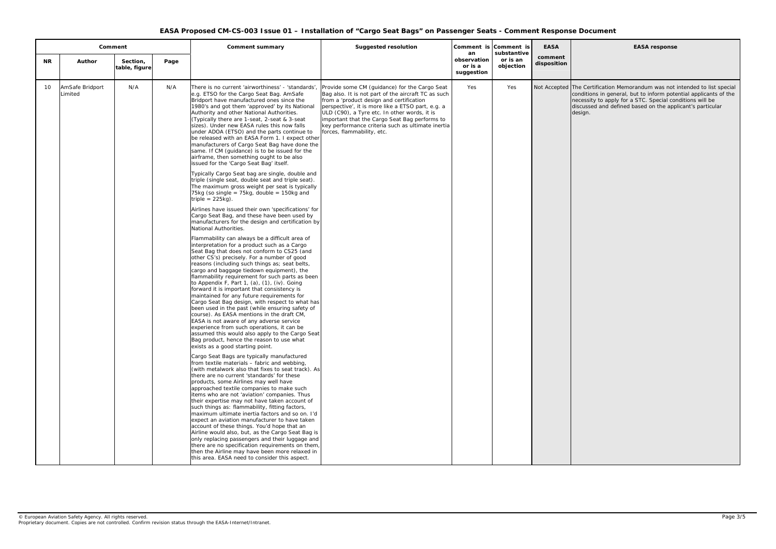## **EASA response**

Certification Memorandum was not intended to list special conditions in general, but to inform potential applicants of the necessity to apply for a STC. Special conditions will be discussed and defined based on the applicant's particular gn.

|           | Comment                    |                           |      | <b>Comment summary</b>                                                                                                                                                                                                                                                                                                                                                                                                                                                                                                                                                                                                                                                                                                                                                                                                                                                                                                                                                                                                                                                                                                                                                                                                                                                                                                                                                                                                                                                                                                                                                                                                                                                                                                                                                                                                                                                                                                                                                                                                                                                                                                                                                                                                                                                                                                                                                                                                                                                                                                                                                                                                                                                                                                                                                                                        | <b>Suggested resolution</b>                                                                                                                                                                                                                                                                                                                                                               |                                            | Comment is Comment is                | <b>EASA</b>            |                                |
|-----------|----------------------------|---------------------------|------|---------------------------------------------------------------------------------------------------------------------------------------------------------------------------------------------------------------------------------------------------------------------------------------------------------------------------------------------------------------------------------------------------------------------------------------------------------------------------------------------------------------------------------------------------------------------------------------------------------------------------------------------------------------------------------------------------------------------------------------------------------------------------------------------------------------------------------------------------------------------------------------------------------------------------------------------------------------------------------------------------------------------------------------------------------------------------------------------------------------------------------------------------------------------------------------------------------------------------------------------------------------------------------------------------------------------------------------------------------------------------------------------------------------------------------------------------------------------------------------------------------------------------------------------------------------------------------------------------------------------------------------------------------------------------------------------------------------------------------------------------------------------------------------------------------------------------------------------------------------------------------------------------------------------------------------------------------------------------------------------------------------------------------------------------------------------------------------------------------------------------------------------------------------------------------------------------------------------------------------------------------------------------------------------------------------------------------------------------------------------------------------------------------------------------------------------------------------------------------------------------------------------------------------------------------------------------------------------------------------------------------------------------------------------------------------------------------------------------------------------------------------------------------------------------------------|-------------------------------------------------------------------------------------------------------------------------------------------------------------------------------------------------------------------------------------------------------------------------------------------------------------------------------------------------------------------------------------------|--------------------------------------------|--------------------------------------|------------------------|--------------------------------|
| <b>NR</b> | Author                     | Section,<br>table, figure | Page |                                                                                                                                                                                                                                                                                                                                                                                                                                                                                                                                                                                                                                                                                                                                                                                                                                                                                                                                                                                                                                                                                                                                                                                                                                                                                                                                                                                                                                                                                                                                                                                                                                                                                                                                                                                                                                                                                                                                                                                                                                                                                                                                                                                                                                                                                                                                                                                                                                                                                                                                                                                                                                                                                                                                                                                                               |                                                                                                                                                                                                                                                                                                                                                                                           | an<br>observation<br>or is a<br>suggestion | substantive<br>or is an<br>objection | comment<br>disposition |                                |
| 10        | AmSafe Bridport<br>Limited | N/A                       | N/A  | There is no current 'airworthiness' - 'standards',<br>e.g. ETSO for the Cargo Seat Bag. AmSafe<br>Bridport have manufactured ones since the<br>1980's and got them 'approved' by its National<br>Authority and other National Authorities.<br>(Typically there are 1-seat, 2-seat & 3-seat<br>sizes). Under new EASA rules this now falls<br>under ADOA (ETSO) and the parts continue to<br>be released with an EASA Form 1. I expect other<br>manufacturers of Cargo Seat Bag have done the<br>same. If CM (guidance) is to be issued for the<br>airframe, then something ought to be also<br>issued for the 'Cargo Seat Bag' itself.<br>Typically Cargo Seat bag are single, double and<br>triple (single seat, double seat and triple seat).<br>The maximum gross weight per seat is typically<br>75kg (so single = $75kg$ , double = $150kg$ and<br>triple = $225kg$ ).<br>Airlines have issued their own 'specifications' for<br>Cargo Seat Bag, and these have been used by<br>manufacturers for the design and certification by<br>National Authorities.<br>Flammability can always be a difficult area of<br>interpretation for a product such as a Cargo<br>Seat Bag that does not conform to CS25 (and<br>other CS's) precisely. For a number of good<br>reasons (including such things as; seat belts,<br>cargo and baggage tiedown equipment), the<br>flammability requirement for such parts as been<br>to Appendix F, Part 1, (a), (1), (iv). Going<br>forward it is important that consistency is<br>maintained for any future requirements for<br>Cargo Seat Bag design, with respect to what has<br>been used in the past (while ensuring safety of<br>course). As EASA mentions in the draft CM,<br>EASA is not aware of any adverse service<br>experience from such operations, it can be<br>assumed this would also apply to the Cargo Seat<br>Bag product, hence the reason to use what<br>exists as a good starting point.<br>Cargo Seat Bags are typically manufactured<br>from textile materials - fabric and webbing,<br>(with metalwork also that fixes to seat track). As<br>there are no current 'standards' for these<br>products, some Airlines may well have<br>approached textile companies to make such<br>items who are not 'aviation' companies. Thus<br>their expertise may not have taken account of<br>such things as: flammability, fitting factors,<br>maximum ultimate inertia factors and so on. I'd<br>expect an aviation manufacturer to have taken<br>account of these things. You'd hope that an<br>Airline would also, but, as the Cargo Seat Bag is<br>only replacing passengers and their luggage and<br>there are no specification requirements on them,<br>then the Airline may have been more relaxed in<br>this area. EASA need to consider this aspect. | Provide some CM (guidance) for the Cargo Seat<br>Bag also. It is not part of the aircraft TC as such<br>from a 'product design and certification<br>perspective', it is more like a ETSO part, e.g. a<br>ULD (C90), a Tyre etc. In other words, it is<br>important that the Cargo Seat Bag performs to<br>key performance criteria such as ultimate inertia<br>forces, flammability, etc. | Yes                                        | Yes                                  | Not Accepted The       | cond<br>nece<br>discu<br>desig |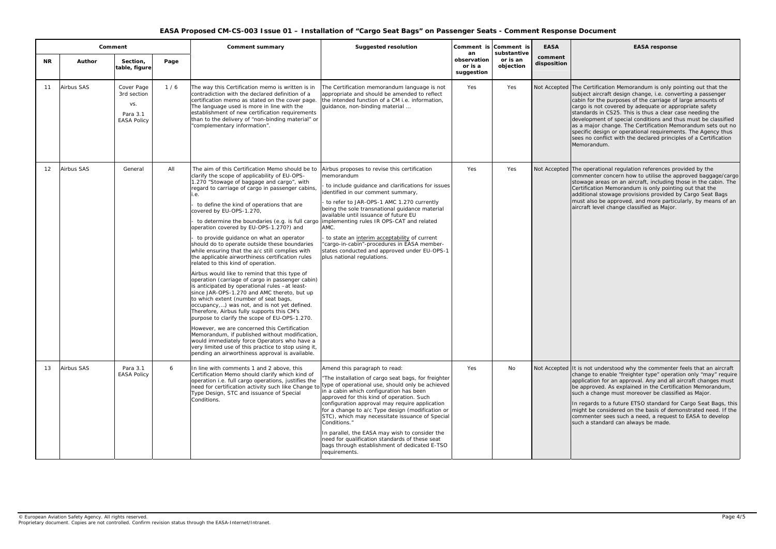#### **EASA response**

Certification Memorandum is only pointing out that the ect aircraft design change, i.e. converting a passenger i for the purposes of the carriage of large amounts of is not covered by adequate or appropriate safety dards in CS25. This is thus a clear case needing the lopment of special conditions and thus must be classified major change. The Certification Memorandum sets out no ific design or operational requirements. The Agency thus no conflict with the declared principles of a Certification Memorandum.

operational regulation references provided by the nenter concern how to utilise the approved baggage/cargo age areas on an aircraft, including those in the cabin. The ification Memorandum is only pointing out that the tional stowage provisions provided by Cargo Seat Bags also be approved, and more particularly, by means of an aft level change classified as Major.

not understood why the commenter feels that an aircraft ge to enable "freighter type" operation only "may" require cation for an approval. Any and all aircraft changes must pproved. As explained in the Certification Memorandum, ..<br>a change must moreover be classified as Major.

egards to a future ETSO standard for Cargo Seat Bags, this of be considered on the basis of demonstrated need. If the menter sees such a need, a request to EASA to develop a standard can always be made.

|                   | Comment           |                                                                    |      | <b>Comment summary</b>                                                                                                                                                                                                                                                                                                                                                                                                                                                                                                                                                                                                                                                                                                                                                                                                                                                                                                                                                                                                                                                                                                                                                                                                                                                              | <b>Suggested resolution</b>                                                                                                                                                                                                                                                                                                                                                                                                                                                                                                                                                     | an                                   | Comment is Comment is<br>substantive | <b>EASA</b>            |                                                                           |
|-------------------|-------------------|--------------------------------------------------------------------|------|-------------------------------------------------------------------------------------------------------------------------------------------------------------------------------------------------------------------------------------------------------------------------------------------------------------------------------------------------------------------------------------------------------------------------------------------------------------------------------------------------------------------------------------------------------------------------------------------------------------------------------------------------------------------------------------------------------------------------------------------------------------------------------------------------------------------------------------------------------------------------------------------------------------------------------------------------------------------------------------------------------------------------------------------------------------------------------------------------------------------------------------------------------------------------------------------------------------------------------------------------------------------------------------|---------------------------------------------------------------------------------------------------------------------------------------------------------------------------------------------------------------------------------------------------------------------------------------------------------------------------------------------------------------------------------------------------------------------------------------------------------------------------------------------------------------------------------------------------------------------------------|--------------------------------------|--------------------------------------|------------------------|---------------------------------------------------------------------------|
| <b>NR</b>         | <b>Author</b>     | Section,<br>table, figure                                          | Page |                                                                                                                                                                                                                                                                                                                                                                                                                                                                                                                                                                                                                                                                                                                                                                                                                                                                                                                                                                                                                                                                                                                                                                                                                                                                                     |                                                                                                                                                                                                                                                                                                                                                                                                                                                                                                                                                                                 | observation<br>or is a<br>suggestion | or is an<br>objection                | comment<br>disposition |                                                                           |
| 11                | <b>Airbus SAS</b> | Cover Page<br>3rd section<br>VS.<br>Para 3.1<br><b>EASA Policy</b> | 1/6  | The way this Certification memo is written is in<br>contradiction with the declared definition of a<br>certification memo as stated on the cover page.<br>The language used is more in line with the<br>establishment of new certification requirements<br>than to the delivery of "non-binding material" or<br>"complementary information".                                                                                                                                                                                                                                                                                                                                                                                                                                                                                                                                                                                                                                                                                                                                                                                                                                                                                                                                        | The Certification memorandum language is not<br>appropriate and should be amended to reflect<br>the intended function of a CM i.e. information,<br>guidance, non-binding material                                                                                                                                                                                                                                                                                                                                                                                               | Yes                                  | Yes                                  | Not Accepted The C     | subje<br>cabin<br>cargo<br>stand<br>devel<br>as a<br>speci<br>sees<br>Mem |
| $12 \overline{ }$ | Airbus SAS        | General                                                            | All  | The aim of this Certification Memo should be to<br>clarify the scope of applicability of EU-OPS-<br>1.270 "Stowage of baggage and cargo", with<br>regard to carriage of cargo in passenger cabins,<br>.е.<br>to define the kind of operations that are<br>covered by EU-OPS-1.270,<br>to determine the boundaries (e.g. is full cargo<br>operation covered by EU-OPS-1.270?) and<br>to provide guidance on what an operator<br>should do to operate outside these boundaries<br>while ensuring that the a/c still complies with<br>the applicable airworthiness certification rules<br>related to this kind of operation.<br>Airbus would like to remind that this type of<br>operation (carriage of cargo in passenger cabin)<br>is anticipated by operational rules -at least-<br>since JAR-OPS-1.270 and AMC thereto, but up<br>to which extent (number of seat bags,<br>occupancy,) was not, and is not yet defined.<br>Therefore, Airbus fully supports this CM's<br>purpose to clarify the scope of EU-OPS-1.270.<br>However, we are concerned this Certification<br>Memorandum, if published without modification,<br>would immediately force Operators who have a<br>very limited use of this practice to stop using it,<br>pending an airworthiness approval is available. | Airbus proposes to revise this certification<br>memorandum<br>- to include guidance and clarifications for issues<br>identified in our comment summary,<br>- to refer to JAR-OPS-1 AMC 1.270 currently<br>being the sole transnational guidance material<br>available until issuance of future EU<br>implementing rules IR OPS-CAT and related<br>AMC.<br>- to state an interim acceptability of current<br>"cargo-in-cabin"-procedures in EASA member-<br>states conducted and approved under EU-OPS-1<br>plus national regulations.                                           | Yes                                  | Yes                                  | Not Accepted The c     | comn<br>stowa<br>Certif<br>additi<br>must<br>aircra                       |
| 13                | <b>Airbus SAS</b> | Para 3.1<br><b>EASA Policy</b>                                     | 6    | In line with comments 1 and 2 above, this<br>Certification Memo should clarify which kind of<br>operation i.e. full cargo operations, justifies the<br>need for certification activity such like Change to<br>Type Design, STC and issuance of Special<br>Conditions.                                                                                                                                                                                                                                                                                                                                                                                                                                                                                                                                                                                                                                                                                                                                                                                                                                                                                                                                                                                                               | Amend this paragraph to read:<br>"The installation of cargo seat bags, for freighter<br>type of operational use, should only be achieved<br>in a cabin which configuration has been<br>approved for this kind of operation. Such<br>configuration approval may require application<br>for a change to a/c Type design (modification or<br>STC), which may necessitate issuance of Special<br>Conditions."<br>In parallel, the EASA may wish to consider the<br>need for qualification standards of these seat<br>bags through establishment of dedicated E-TSO<br>requirements. | Yes                                  | No                                   | Not Accepted It is r   | chang<br>applio<br>be ap<br>such<br>In reg<br>might<br>comn<br>such       |